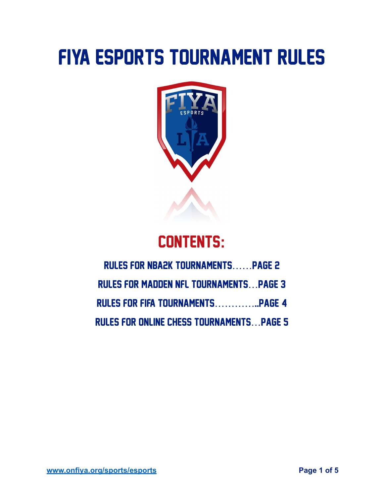# FIYA ESPORTS TOURNAMENT Rules



# CONTENTS**:**

## Rules FOR NBA2K TOURNAMENTS……page 2 RULES FOR MADDEN NFL TOURNAMENTS…page 3 Rules for FIFA tournaments…………..page 4 Rules for online chess tournaments…page 5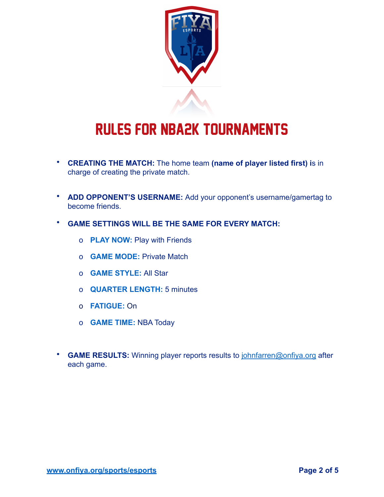

# Rules FOR nba2k tournaments

- **CREATING THE MATCH:** The home team **(name of player listed first) i**s in charge of creating the private match.
- **ADD OPPONENT'S USERNAME:** Add your opponent's username/gamertag to become friends.
- **GAME SETTINGS WILL BE THE SAME FOR EVERY MATCH:**
	- o **PLAY NOW:** Play with Friends
	- o **GAME MODE:** Private Match
	- o **GAME STYLE:** All Star
	- o **QUARTER LENGTH:** 5 minutes
	- o **FATIGUE:** On
	- o **GAME TIME:** NBA Today
- **GAME RESULTS:** Winning player reports results to [johnfarren@onfiya.org](mailto:johnfarren@onfiya.org) after each game.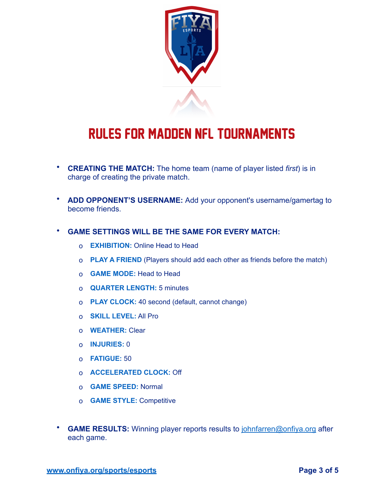

### Rules FOR MADDEN NFL TOURNAMENTS

- **CREATING THE MATCH:** The home team (name of player listed *first*) is in charge of creating the private match.
- **ADD OPPONENT'S USERNAME:** Add your opponent's username/gamertag to become friends.
- **GAME SETTINGS WILL BE THE SAME FOR EVERY MATCH:**
	- o **EXHIBITION:** Online Head to Head
	- o **PLAY A FRIEND** (Players should add each other as friends before the match)
	- o **GAME MODE:** Head to Head
	- o **QUARTER LENGTH:** 5 minutes
	- o **PLAY CLOCK:** 40 second (default, cannot change)
	- o **SKILL LEVEL:** All Pro
	- o **WEATHER:** Clear
	- o **INJURIES:** 0
	- o **FATIGUE:** 50
	- o **ACCELERATED CLOCK:** Off
	- o **GAME SPEED:** Normal
	- o **GAME STYLE:** Competitive
- **GAME RESULTS:** Winning player reports results to [johnfarren@onfiya.org](mailto:johnfarren@onfiya.org) after each game.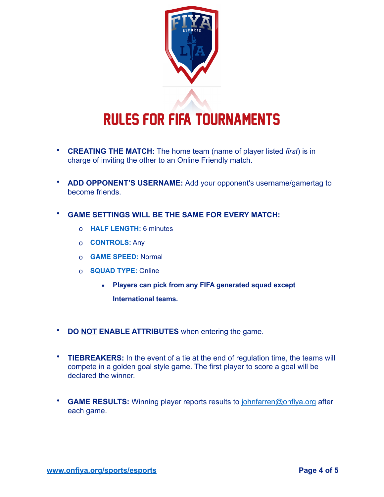

# Rules FOR FIFA TOURNAMENTS

- **CREATING THE MATCH:** The home team (name of player listed *first*) is in charge of inviting the other to an Online Friendly match.
- **ADD OPPONENT'S USERNAME:** Add your opponent's username/gamertag to become friends.
- **GAME SETTINGS WILL BE THE SAME FOR EVERY MATCH:**
	- o **HALF LENGTH:** 6 minutes
	- o **CONTROLS:** Any
	- o **GAME SPEED:** Normal
	- o **SQUAD TYPE:** Online
		- **Players can pick from any FIFA generated squad except** 
			- **International teams.**
- **DO NOT ENABLE ATTRIBUTES** when entering the game.
- **TIEBREAKERS:** In the event of a tie at the end of regulation time, the teams will compete in a golden goal style game. The first player to score a goal will be declared the winner.
- **GAME RESULTS:** Winning player reports results to [johnfarren@onfiya.org](mailto:johnfarren@onfiya.org) after each game.